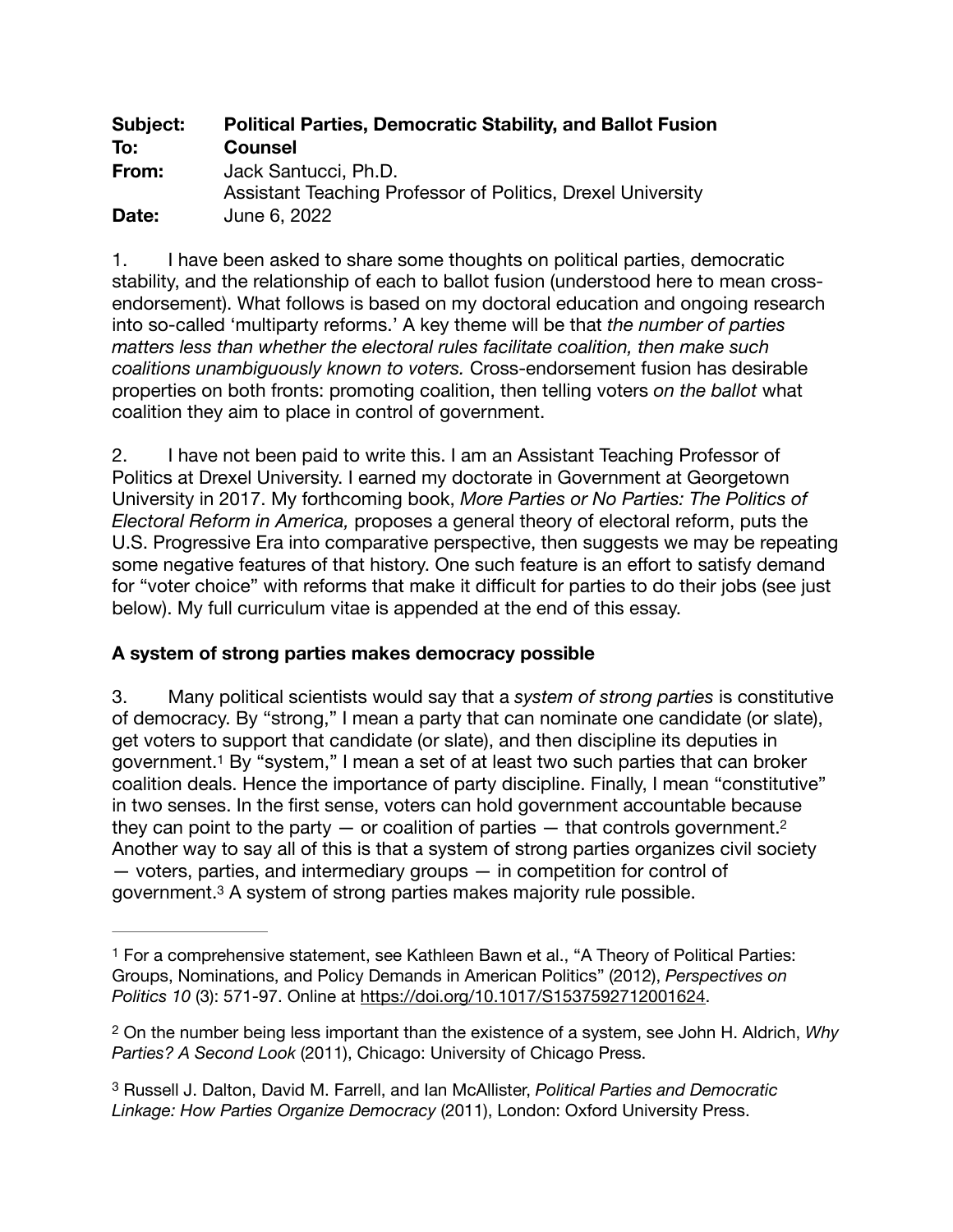| Subject: | <b>Political Parties, Democratic Stability, and Ballot Fusion</b>                   |
|----------|-------------------------------------------------------------------------------------|
| To:      | <b>Counsel</b>                                                                      |
| From:    | Jack Santucci, Ph.D.<br>Assistant Teaching Professor of Politics, Drexel University |
| Date:    | June 6, 2022                                                                        |

1. I have been asked to share some thoughts on political parties, democratic stability, and the relationship of each to ballot fusion (understood here to mean crossendorsement). What follows is based on my doctoral education and ongoing research into so-called 'multiparty reforms.' A key theme will be that *the number of parties matters less than whether the electoral rules facilitate coalition, then make such coalitions unambiguously known to voters.* Cross-endorsement fusion has desirable properties on both fronts: promoting coalition, then telling voters *on the ballot* what coalition they aim to place in control of government.

2. I have not been paid to write this. I am an Assistant Teaching Professor of Politics at Drexel University. I earned my doctorate in Government at Georgetown University in 2017. My forthcoming book, *More Parties or No Parties: The Politics of Electoral Reform in America,* proposes a general theory of electoral reform, puts the U.S. Progressive Era into comparative perspective, then suggests we may be repeating some negative features of that history. One such feature is an effort to satisfy demand for "voter choice" with reforms that make it difficult for parties to do their jobs (see just below). My full curriculum vitae is appended at the end of this essay.

## **A system of strong parties makes democracy possible**

<span id="page-0-3"></span>3. Many political scientists would say that a *system of strong parties* is constitutive of democracy. By "strong," I mean a party that can nominate one candidate (or slate), get voters to support that candidate (or slate), and then discipline its deputies in government.<sup>[1](#page-0-0)</sup> By "system," I mean a set of at least two such parties that can broker coalition deals. Hence the importance of party discipline. Finally, I mean "constitutive" in two senses. In the first sense, voters can hold government accountable because they can point to the party  $-$  or coalition of parties  $-$  that controls government.<sup>2</sup> Another way to say all of this is that a system of strong parties organizes civil society — voters, parties, and intermediary groups — in competition for control of government.<sup>3</sup> A system of strong parties makes majority rule possible.

<span id="page-0-5"></span><span id="page-0-4"></span><span id="page-0-0"></span>For a comprehensive statement, see Kathleen Bawn et al., "A Theory of Political Parties: [1](#page-0-3) Groups, Nominations, and Policy Demands in American Politics" (2012), *Perspectives on Politics 10* (3): 571-97. Online at <https://doi.org/10.1017/S1537592712001624>.

<span id="page-0-1"></span>On the number being less important than the existence of a system, see John H. Aldrich, *Why* [2](#page-0-4) *Parties? A Second Look* (2011), Chicago: University of Chicago Press.

<span id="page-0-2"></span>Russell J. Dalton, David M. Farrell, and Ian McAllister, *Political Parties and Democratic* [3](#page-0-5) *Linkage: How Parties Organize Democracy* (2011), London: Oxford University Press.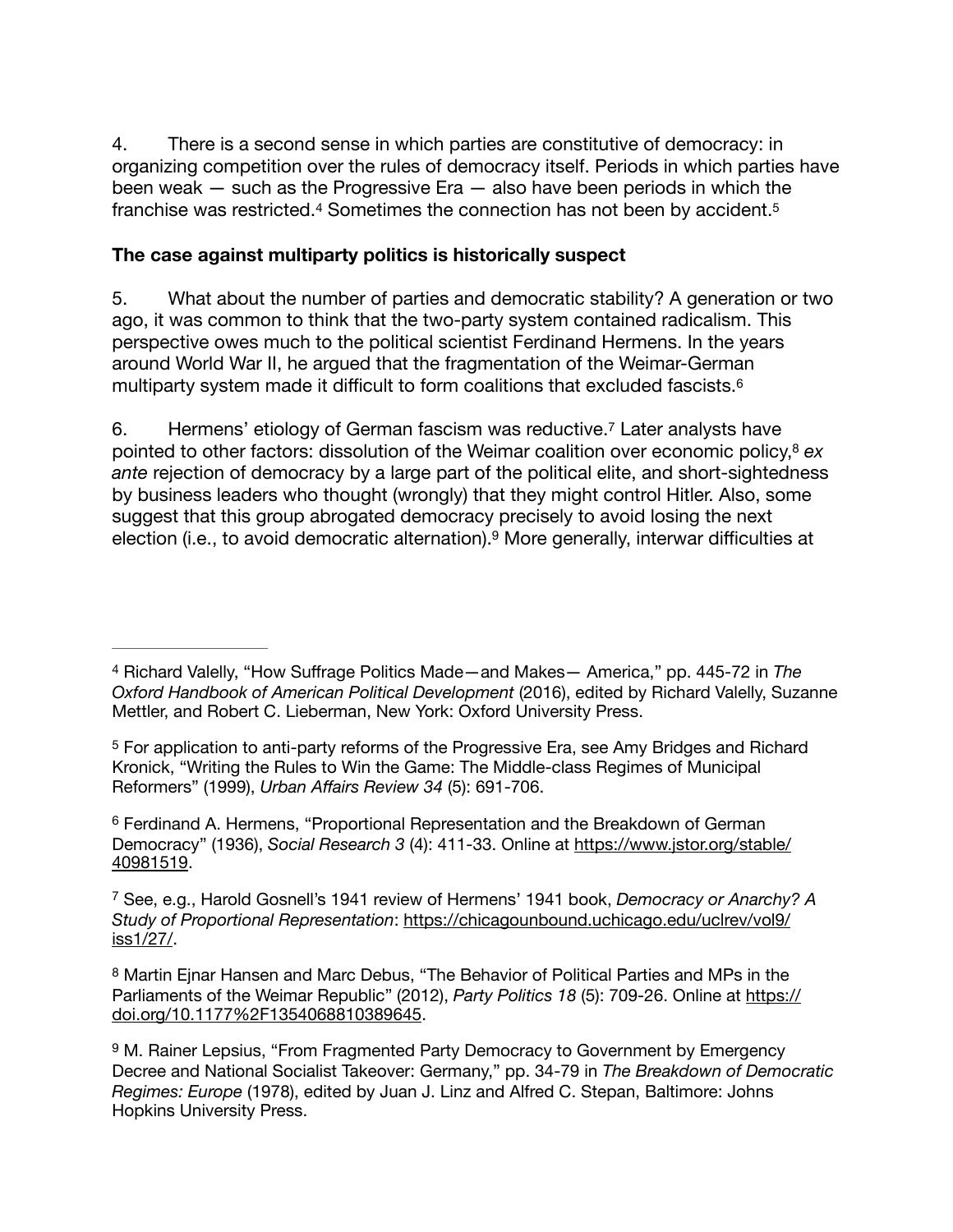4. There is a second sense in which parties are constitutive of democracy: in organizing competition over the rules of democracy itself. Periods in which parties have been weak — such as the Progressive Era — also have been periods in which the franchise was restricted.<sup>4</sup> Sometimes the connection has not been by accident.<sup>[5](#page-1-1)</sup>

## <span id="page-1-7"></span><span id="page-1-6"></span>**The case against multiparty politics is historically suspect**

5. What about the number of parties and democratic stability? A generation or two ago, it was common to think that the two-party system contained radicalism. This perspective owes much to the political scientist Ferdinand Hermens. In the years around World War II, he argued that the fragmentation of the Weimar-German multiparty system made it difficult to form coalitions that excluded fascists[.6](#page-1-2)

<span id="page-1-11"></span><span id="page-1-10"></span><span id="page-1-9"></span><span id="page-1-8"></span>6. Hermens' etiology of German fascism was reductive.<sup>[7](#page-1-3)</sup> Later analysts have pointed to other factors: dissolution of the Weimar coalition over economic policy,<sup>[8](#page-1-4)</sup> ex *ante* rejection of democracy by a large part of the political elite, and short-sightedness by business leaders who thought (wrongly) that they might control Hitler. Also, some suggest that this group abrogated democracy precisely to avoid losing the next election (i.e., to avoid democratic alternation).<sup>9</sup> More generally, interwar difficulties at

<span id="page-1-2"></span> Ferdinand A. Hermens, "Proportional Representation and the Breakdown of German [6](#page-1-8) Democracy" (1936), *Social Research 3* (4): 411-33. Online at [https://www.jstor.org/stable/](https://www.jstor.org/stable/40981519) [40981519.](https://www.jstor.org/stable/40981519)

<span id="page-1-3"></span> See, e.g., Harold Gosnell's 1941 review of Hermens' 1941 book, *Democracy or Anarchy? A* [7](#page-1-9) *Study of Proportional Representation*: [https://chicagounbound.uchicago.edu/uclrev/vol9/](https://chicagounbound.uchicago.edu/uclrev/vol9/iss1/27/) [iss1/27/](https://chicagounbound.uchicago.edu/uclrev/vol9/iss1/27/).

<span id="page-1-0"></span>Richard Valelly, "How Suffrage Politics Made—and Makes— America," pp. 445-72 in *The* [4](#page-1-6) *Oxford Handbook of American Political Development* (2016), edited by Richard Valelly, Suzanne Mettler, and Robert C. Lieberman, New York: Oxford University Press.

<span id="page-1-1"></span><sup>&</sup>lt;sup>[5](#page-1-7)</sup> For application to anti-party reforms of the Progressive Era, see Amy Bridges and Richard Kronick, "Writing the Rules to Win the Game: The Middle-class Regimes of Municipal Reformers" (1999), *Urban Affairs Review 34* (5): 691-706.

<span id="page-1-4"></span><sup>&</sup>lt;sup>[8](#page-1-10)</sup> Martin Ejnar Hansen and Marc Debus, "The Behavior of Political Parties and MPs in the Parliaments of the Weimar Republic" (2012), *Party Politics 18* (5): 709-26. Online at [https://](https://doi.org/10.1177%25252F1354068810389645) [doi.org/10.1177%2F1354068810389645](https://doi.org/10.1177%25252F1354068810389645).

<span id="page-1-5"></span><sup>&</sup>lt;sup>[9](#page-1-11)</sup> M. Rainer Lepsius, "From Fragmented Party Democracy to Government by Emergency Decree and National Socialist Takeover: Germany," pp. 34-79 in *The Breakdown of Democratic Regimes: Europe* (1978), edited by Juan J. Linz and Alfred C. Stepan, Baltimore: Johns Hopkins University Press.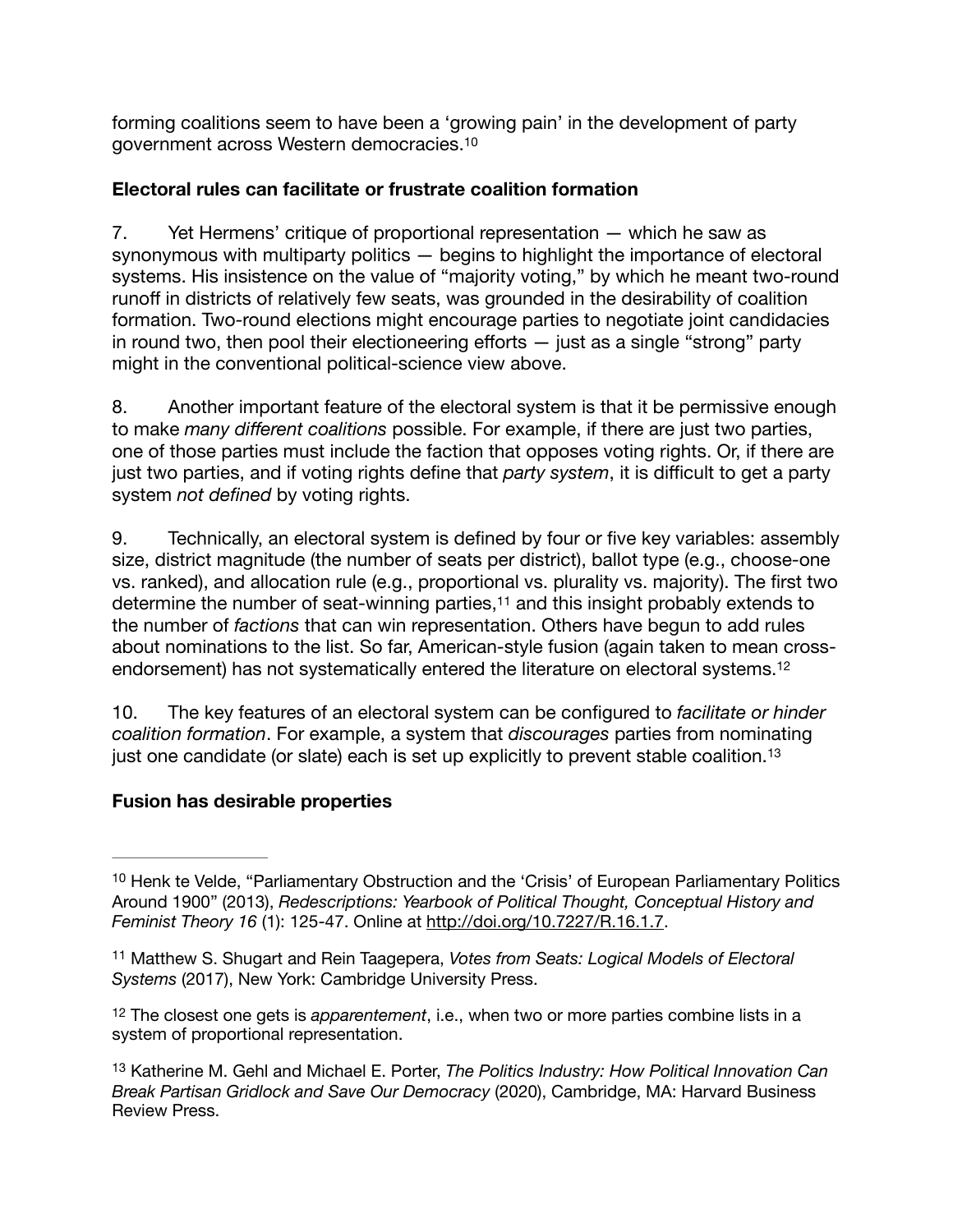<span id="page-2-4"></span>forming coalitions seem to have been a 'growing pain' in the development of party government across Western democracies[.10](#page-2-0)

## **Electoral rules can facilitate or frustrate coalition formation**

7. Yet Hermens' critique of proportional representation — which he saw as synonymous with multiparty politics — begins to highlight the importance of electoral systems. His insistence on the value of "majority voting," by which he meant two-round runoff in districts of relatively few seats, was grounded in the desirability of coalition formation. Two-round elections might encourage parties to negotiate joint candidacies in round two, then pool their electioneering efforts  $-$  just as a single "strong" party might in the conventional political-science view above.

8. Another important feature of the electoral system is that it be permissive enough to make *many different coalitions* possible. For example, if there are just two parties, one of those parties must include the faction that opposes voting rights. Or, if there are just two parties, and if voting rights define that *party system*, it is difficult to get a party system *not defined* by voting rights.

<span id="page-2-5"></span>9. Technically, an electoral system is defined by four or five key variables: assembly size, district magnitude (the number of seats per district), ballot type (e.g., choose-one vs. ranked), and allocation rule (e.g., proportional vs. plurality vs. majority). The first two determine the number of seat-winning parties[,](#page-2-1) $11$  and this insight probably extends to the number of *factions* that can win representation. Others have begun to add rules about nominations to the list. So far, American-style fusion (again taken to mean crossendorsement) has not systematically entered the literature on electoral systems[.12](#page-2-2)

<span id="page-2-7"></span><span id="page-2-6"></span>10. The key features of an electoral system can be configured to *facilitate or hinder coalition formation*. For example, a system that *discourages* parties from nominating just one candidate (or slate) each is set up explicitly to prevent stable coalition.<sup>13</sup>

## **Fusion has desirable properties**

<span id="page-2-0"></span><sup>&</sup>lt;sup>10</sup>Henk te Velde, "Parliamentary Obstruction and the 'Crisis' of European Parliamentary Politics Around 1900" (2013), *Redescriptions: Yearbook of Political Thought, Conceptual History and Feminist Theory 16* (1): 125-47. Online at [http://doi.org/10.7227/R.16.1.7.](http://doi.org/10.7227/R.16.1.7)

<span id="page-2-1"></span>Matthew S. Shugart and Rein Taagepera, *Votes from Seats: Logical Models of Electoral* [11](#page-2-5) *Systems* (2017), New York: Cambridge University Press.

<span id="page-2-2"></span><sup>&</sup>lt;sup>[12](#page-2-6)</sup> The closest one gets is *apparentement*, i.e., when two or more parties combine lists in a system of proportional representation.

<span id="page-2-3"></span><sup>&</sup>lt;sup>[13](#page-2-7)</sup> Katherine M. Gehl and Michael E. Porter, *The Politics Industry: How Political Innovation Can Break Partisan Gridlock and Save Our Democracy* (2020), Cambridge, MA: Harvard Business Review Press.